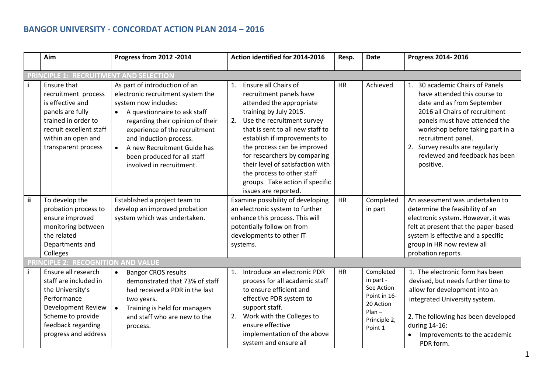## **BANGOR UNIVERSITY - CONCORDAT ACTION PLAN 2014 – 2016**

|              | Aim                                                                                                                                                                       | Progress from 2012 -2014                                                                                                                                                                                                                                                                                                         | Action identified for 2014-2016                                                                                                                                                                                                                                                                                                                                                                                 | Resp.     | <b>Date</b>                                                                                              | Progress 2014-2016                                                                                                                                                                                                                                                                                           |
|--------------|---------------------------------------------------------------------------------------------------------------------------------------------------------------------------|----------------------------------------------------------------------------------------------------------------------------------------------------------------------------------------------------------------------------------------------------------------------------------------------------------------------------------|-----------------------------------------------------------------------------------------------------------------------------------------------------------------------------------------------------------------------------------------------------------------------------------------------------------------------------------------------------------------------------------------------------------------|-----------|----------------------------------------------------------------------------------------------------------|--------------------------------------------------------------------------------------------------------------------------------------------------------------------------------------------------------------------------------------------------------------------------------------------------------------|
|              | <b>PRINCIPLE 1: RECRUITMENT AND SELECTION</b>                                                                                                                             |                                                                                                                                                                                                                                                                                                                                  |                                                                                                                                                                                                                                                                                                                                                                                                                 |           |                                                                                                          |                                                                                                                                                                                                                                                                                                              |
| $\mathbf{i}$ | Ensure that<br>recruitment process<br>is effective and<br>panels are fully<br>trained in order to<br>recruit excellent staff<br>within an open and<br>transparent process | As part of introduction of an<br>electronic recruitment system the<br>system now includes:<br>A questionnaire to ask staff<br>$\bullet$<br>regarding their opinion of their<br>experience of the recruitment<br>and induction process.<br>A new Recruitment Guide has<br>been produced for all staff<br>involved in recruitment. | Ensure all Chairs of<br>1.<br>recruitment panels have<br>attended the appropriate<br>training by July 2015.<br>Use the recruitment survey<br>2.<br>that is sent to all new staff to<br>establish if improvements to<br>the process can be improved<br>for researchers by comparing<br>their level of satisfaction with<br>the process to other staff<br>groups. Take action if specific<br>issues are reported. | <b>HR</b> | Achieved                                                                                                 | 1. 30 academic Chairs of Panels<br>have attended this course to<br>date and as from September<br>2016 all Chairs of recruitment<br>panels must have attended the<br>workshop before taking part in a<br>recruitment panel.<br>2. Survey results are regularly<br>reviewed and feedback has been<br>positive. |
| <b>ii</b>    | To develop the<br>probation process to<br>ensure improved<br>monitoring between<br>the related<br>Departments and<br>Colleges                                             | Established a project team to<br>develop an improved probation<br>system which was undertaken.                                                                                                                                                                                                                                   | Examine possibility of developing<br>an electronic system to further<br>enhance this process. This will<br>potentially follow on from<br>developments to other IT<br>systems.                                                                                                                                                                                                                                   | HR        | Completed<br>in part                                                                                     | An assessment was undertaken to<br>determine the feasibility of an<br>electronic system. However, it was<br>felt at present that the paper-based<br>system is effective and a specific<br>group in HR now review all<br>probation reports.                                                                   |
|              | <b>CIPLE 2: RECOGNITION AND VALUE</b>                                                                                                                                     |                                                                                                                                                                                                                                                                                                                                  |                                                                                                                                                                                                                                                                                                                                                                                                                 |           |                                                                                                          |                                                                                                                                                                                                                                                                                                              |
| $\mathbf{i}$ | Ensure all research<br>staff are included in<br>the University's<br>Performance<br>Development Review<br>Scheme to provide<br>feedback regarding<br>progress and address  | <b>Bangor CROS results</b><br>$\bullet$<br>demonstrated that 73% of staff<br>had received a PDR in the last<br>two years.<br>Training is held for managers<br>and staff who are new to the<br>process.                                                                                                                           | Introduce an electronic PDR<br>1.<br>process for all academic staff<br>to ensure efficient and<br>effective PDR system to<br>support staff.<br>Work with the Colleges to<br>2.<br>ensure effective<br>implementation of the above<br>system and ensure all                                                                                                                                                      | HR        | Completed<br>in part -<br>See Action<br>Point in 16-<br>20 Action<br>$Plan -$<br>Principle 2,<br>Point 1 | 1. The electronic form has been<br>devised, but needs further time to<br>allow for development into an<br>integrated University system.<br>2. The following has been developed<br>during 14-16:<br>Improvements to the academic<br>PDR form.                                                                 |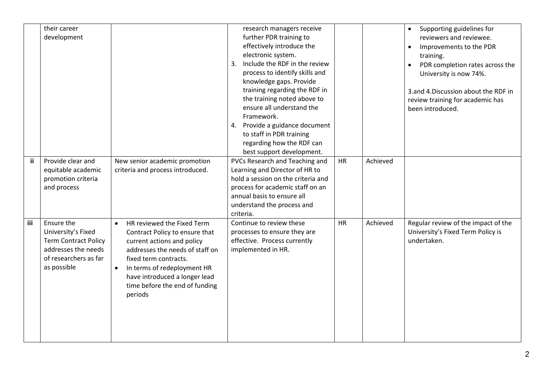|           | their career<br>development                                                                                                    |                                                                                                                                                                                                                                                                                               | research managers receive<br>further PDR training to<br>effectively introduce the<br>electronic system.<br>Include the RDF in the review<br>3.<br>process to identify skills and<br>knowledge gaps. Provide<br>training regarding the RDF in<br>the training noted above to<br>ensure all understand the<br>Framework.<br>4. Provide a guidance document<br>to staff in PDR training<br>regarding how the RDF can<br>best support development. |           |          | Supporting guidelines for<br>reviewers and reviewee.<br>Improvements to the PDR<br>training.<br>PDR completion rates across the<br>University is now 74%.<br>3.and 4.Discussion about the RDF in<br>review training for academic has<br>been introduced. |
|-----------|--------------------------------------------------------------------------------------------------------------------------------|-----------------------------------------------------------------------------------------------------------------------------------------------------------------------------------------------------------------------------------------------------------------------------------------------|------------------------------------------------------------------------------------------------------------------------------------------------------------------------------------------------------------------------------------------------------------------------------------------------------------------------------------------------------------------------------------------------------------------------------------------------|-----------|----------|----------------------------------------------------------------------------------------------------------------------------------------------------------------------------------------------------------------------------------------------------------|
| <b>ii</b> | Provide clear and<br>equitable academic<br>promotion criteria<br>and process                                                   | New senior academic promotion<br>criteria and process introduced.                                                                                                                                                                                                                             | PVCs Research and Teaching and<br>Learning and Director of HR to<br>hold a session on the criteria and<br>process for academic staff on an<br>annual basis to ensure all<br>understand the process and<br>criteria.                                                                                                                                                                                                                            | <b>HR</b> | Achieved |                                                                                                                                                                                                                                                          |
| iii       | Ensure the<br>University's Fixed<br><b>Term Contract Policy</b><br>addresses the needs<br>of researchers as far<br>as possible | HR reviewed the Fixed Term<br>$\bullet$<br>Contract Policy to ensure that<br>current actions and policy<br>addresses the needs of staff on<br>fixed term contracts.<br>In terms of redeployment HR<br>$\bullet$<br>have introduced a longer lead<br>time before the end of funding<br>periods | Continue to review these<br>processes to ensure they are<br>effective. Process currently<br>implemented in HR.                                                                                                                                                                                                                                                                                                                                 | <b>HR</b> | Achieved | Regular review of the impact of the<br>University's Fixed Term Policy is<br>undertaken.                                                                                                                                                                  |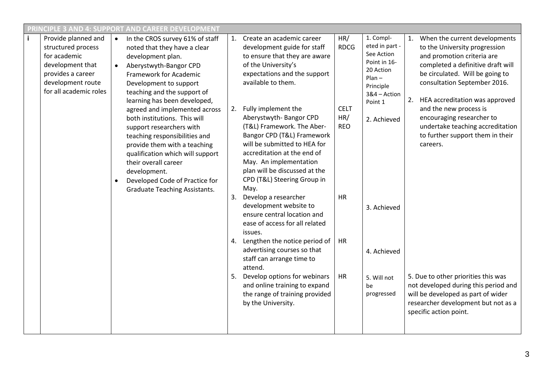| $\mathbf{i}$<br>Provide planned and<br>HR/<br>Create an academic career<br>1. Compl-<br>1. When the current developments<br>In the CROS survey 61% of staff<br>1.<br>$\bullet$<br>eted in part -<br><b>RDCG</b><br>structured process<br>development guide for staff<br>to the University progression<br>noted that they have a clear<br>See Action<br>for academic<br>and promotion criteria are<br>to ensure that they are aware<br>development plan.<br>Point in 16-<br>of the University's<br>completed a definitive draft will<br>development that<br>Aberystwyth-Bangor CPD<br>20 Action<br>be circulated. Will be going to<br>provides a career<br>expectations and the support<br>Framework for Academic<br>$Plan -$<br>available to them.<br>development route<br>consultation September 2016.<br>Development to support<br>Principle<br>for all academic roles<br>teaching and the support of<br>3&4 - Action<br>2. HEA accreditation was approved<br>learning has been developed,<br>Point 1<br>Fully implement the<br>and the new process is<br><b>CELT</b><br>agreed and implemented across<br>2.<br>Aberystwyth-Bangor CPD<br>HR/<br>encouraging researcher to<br>both institutions. This will<br>2. Achieved<br>(T&L) Framework. The Aber-<br><b>REO</b><br>support researchers with<br>to further support them in their<br>Bangor CPD (T&L) Framework<br>teaching responsibilities and<br>will be submitted to HEA for<br>provide them with a teaching<br>careers.<br>accreditation at the end of<br>qualification which will support<br>May. An implementation<br>their overall career<br>plan will be discussed at the<br>development.<br>CPD (T&L) Steering Group in<br>Developed Code of Practice for<br>May.<br><b>Graduate Teaching Assistants.</b><br>Develop a researcher<br><b>HR</b><br>3.<br>development website to<br>3. Achieved<br>ensure central location and<br>ease of access for all related<br>issues.<br>Lengthen the notice period of<br>HR<br>advertising courses so that<br>4. Achieved<br>staff can arrange time to<br>attend.<br>Develop options for webinars<br>5. Due to other priorities this was<br>HR<br>5. Will not<br>and online training to expand<br>not developed during this period and<br>be<br>the range of training provided<br>will be developed as part of wider<br>progressed<br>researcher development but not as a<br>by the University.<br>specific action point. | <b>PRINCIPLE 3 AND 4: SUPPORT AND CAREER DEVELOPMENT</b> |  |  |  |  |  |  |  |                                  |
|--------------------------------------------------------------------------------------------------------------------------------------------------------------------------------------------------------------------------------------------------------------------------------------------------------------------------------------------------------------------------------------------------------------------------------------------------------------------------------------------------------------------------------------------------------------------------------------------------------------------------------------------------------------------------------------------------------------------------------------------------------------------------------------------------------------------------------------------------------------------------------------------------------------------------------------------------------------------------------------------------------------------------------------------------------------------------------------------------------------------------------------------------------------------------------------------------------------------------------------------------------------------------------------------------------------------------------------------------------------------------------------------------------------------------------------------------------------------------------------------------------------------------------------------------------------------------------------------------------------------------------------------------------------------------------------------------------------------------------------------------------------------------------------------------------------------------------------------------------------------------------------------------------------------------------------------------------------------------------------------------------------------------------------------------------------------------------------------------------------------------------------------------------------------------------------------------------------------------------------------------------------------------------------------------------------------------------------------------------------------------------------------------------------------------------|----------------------------------------------------------|--|--|--|--|--|--|--|----------------------------------|
|                                                                                                                                                                                                                                                                                                                                                                                                                                                                                                                                                                                                                                                                                                                                                                                                                                                                                                                                                                                                                                                                                                                                                                                                                                                                                                                                                                                                                                                                                                                                                                                                                                                                                                                                                                                                                                                                                                                                                                                                                                                                                                                                                                                                                                                                                                                                                                                                                                |                                                          |  |  |  |  |  |  |  | undertake teaching accreditation |
|                                                                                                                                                                                                                                                                                                                                                                                                                                                                                                                                                                                                                                                                                                                                                                                                                                                                                                                                                                                                                                                                                                                                                                                                                                                                                                                                                                                                                                                                                                                                                                                                                                                                                                                                                                                                                                                                                                                                                                                                                                                                                                                                                                                                                                                                                                                                                                                                                                |                                                          |  |  |  |  |  |  |  |                                  |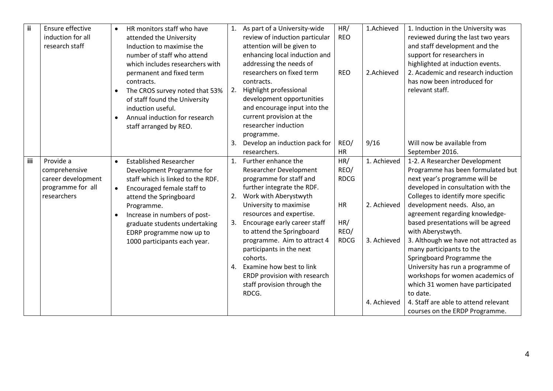| ii.        | Ensure effective   | $\bullet$ | HR monitors staff who have        |    | 1. As part of a University-wide      | HR/         | 1.Achieved  | 1. Induction in the University was                        |
|------------|--------------------|-----------|-----------------------------------|----|--------------------------------------|-------------|-------------|-----------------------------------------------------------|
|            | induction for all  |           | attended the University           |    | review of induction particular       | <b>REO</b>  |             | reviewed during the last two years                        |
|            | research staff     |           | Induction to maximise the         |    | attention will be given to           |             |             | and staff development and the                             |
|            |                    |           | number of staff who attend        |    | enhancing local induction and        |             |             | support for researchers in                                |
|            |                    |           | which includes researchers with   |    | addressing the needs of              |             |             | highlighted at induction events.                          |
|            |                    |           | permanent and fixed term          |    | researchers on fixed term            | <b>REO</b>  | 2.Achieved  | 2. Academic and research induction                        |
|            |                    |           | contracts.                        |    | contracts.                           |             |             | has now been introduced for                               |
|            |                    | $\bullet$ | The CROS survey noted that 53%    | 2. | Highlight professional               |             |             | relevant staff.                                           |
|            |                    |           | of staff found the University     |    | development opportunities            |             |             |                                                           |
|            |                    |           | induction useful.                 |    | and encourage input into the         |             |             |                                                           |
|            |                    |           | Annual induction for research     |    | current provision at the             |             |             |                                                           |
|            |                    |           | staff arranged by REO.            |    | researcher induction                 |             |             |                                                           |
|            |                    |           |                                   |    | programme.                           |             |             |                                                           |
|            |                    |           |                                   | 3. | Develop an induction pack for        | REO/        | 9/16        | Will now be available from                                |
|            |                    |           |                                   |    | researchers.                         | <b>HR</b>   |             | September 2016.                                           |
| <b>iii</b> | Provide a          | $\bullet$ | <b>Established Researcher</b>     | 1. | Further enhance the                  | HR/         | 1. Achieved | 1-2. A Researcher Development                             |
|            | comprehensive      |           | Development Programme for         |    | Researcher Development               | REO/        |             | Programme has been formulated but                         |
|            | career development |           | staff which is linked to the RDF. |    | programme for staff and              | <b>RDCG</b> |             | next year's programme will be                             |
|            | programme for all  | $\bullet$ | Encouraged female staff to        |    | further integrate the RDF.           |             |             | developed in consultation with the                        |
|            | researchers        |           | attend the Springboard            |    | 2. Work with Aberystwyth             |             |             | Colleges to identify more specific                        |
|            |                    |           | Programme.                        |    | University to maximise               | HR          | 2. Achieved | development needs. Also, an                               |
|            |                    |           | Increase in numbers of post-      |    | resources and expertise.             |             |             | agreement regarding knowledge-                            |
|            |                    |           | graduate students undertaking     | 3. | Encourage early career staff         | HR/<br>REO/ |             | based presentations will be agreed                        |
|            |                    |           | EDRP programme now up to          |    | to attend the Springboard            | <b>RDCG</b> | 3. Achieved | with Aberystwyth.<br>3. Although we have not attracted as |
|            |                    |           | 1000 participants each year.      |    | programme. Aim to attract 4          |             |             |                                                           |
|            |                    |           |                                   |    | participants in the next<br>cohorts. |             |             | many participants to the<br>Springboard Programme the     |
|            |                    |           |                                   | 4. | Examine how best to link             |             |             | University has run a programme of                         |
|            |                    |           |                                   |    | ERDP provision with research         |             |             | workshops for women academics of                          |
|            |                    |           |                                   |    | staff provision through the          |             |             | which 31 women have participated                          |
|            |                    |           |                                   |    | RDCG.                                |             |             | to date.                                                  |
|            |                    |           |                                   |    |                                      |             | 4. Achieved | 4. Staff are able to attend relevant                      |
|            |                    |           |                                   |    |                                      |             |             | courses on the ERDP Programme.                            |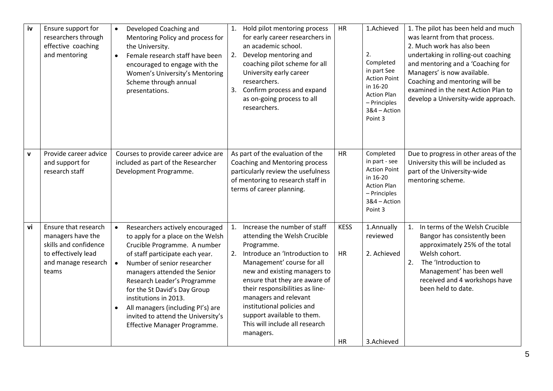| iv           | Ensure support for<br>researchers through<br>effective coaching<br>and mentoring                                          | Developed Coaching and<br>$\bullet$<br>Mentoring Policy and process for<br>the University.<br>Female research staff have been<br>$\bullet$<br>encouraged to engage with the<br>Women's University's Mentoring<br>Scheme through annual<br>presentations.                                                                                                                                                                            | 1. Hold pilot mentoring process<br>for early career researchers in<br>an academic school.<br>2. Develop mentoring and<br>coaching pilot scheme for all<br>University early career<br>researchers.<br>3. Confirm process and expand<br>as on-going process to all<br>researchers.                                                                                                           | HR                                    | 1.Achieved<br>2.<br>Completed<br>in part See<br><b>Action Point</b><br>in 16-20<br><b>Action Plan</b><br>- Principles<br>3&4 - Action<br>Point 3 | 1. The pilot has been held and much<br>was learnt from that process.<br>2. Much work has also been<br>undertaking in rolling-out coaching<br>and mentoring and a 'Coaching for<br>Managers' is now available.<br>Coaching and mentoring will be<br>examined in the next Action Plan to<br>develop a University-wide approach. |
|--------------|---------------------------------------------------------------------------------------------------------------------------|-------------------------------------------------------------------------------------------------------------------------------------------------------------------------------------------------------------------------------------------------------------------------------------------------------------------------------------------------------------------------------------------------------------------------------------|--------------------------------------------------------------------------------------------------------------------------------------------------------------------------------------------------------------------------------------------------------------------------------------------------------------------------------------------------------------------------------------------|---------------------------------------|--------------------------------------------------------------------------------------------------------------------------------------------------|-------------------------------------------------------------------------------------------------------------------------------------------------------------------------------------------------------------------------------------------------------------------------------------------------------------------------------|
| $\mathbf{v}$ | Provide career advice<br>and support for<br>research staff                                                                | Courses to provide career advice are<br>included as part of the Researcher<br>Development Programme.                                                                                                                                                                                                                                                                                                                                | As part of the evaluation of the<br>Coaching and Mentoring process<br>particularly review the usefulness<br>of mentoring to research staff in<br>terms of career planning.                                                                                                                                                                                                                 | HR                                    | Completed<br>in part - see<br><b>Action Point</b><br>in 16-20<br><b>Action Plan</b><br>- Principles<br>3&4 - Action<br>Point 3                   | Due to progress in other areas of the<br>University this will be included as<br>part of the University-wide<br>mentoring scheme.                                                                                                                                                                                              |
| vi           | Ensure that research<br>managers have the<br>skills and confidence<br>to effectively lead<br>and manage research<br>teams | Researchers actively encouraged<br>$\bullet$<br>to apply for a place on the Welsh<br>Crucible Programme. A number<br>of staff participate each year.<br>Number of senior researcher<br>$\bullet$<br>managers attended the Senior<br>Research Leader's Programme<br>for the St David's Day Group<br>institutions in 2013.<br>All managers (including PI's) are<br>invited to attend the University's<br>Effective Manager Programme. | Increase the number of staff<br>1.<br>attending the Welsh Crucible<br>Programme.<br>2. Introduce an 'Introduction to<br>Management' course for all<br>new and existing managers to<br>ensure that they are aware of<br>their responsibilities as line-<br>managers and relevant<br>institutional policies and<br>support available to them.<br>This will include all research<br>managers. | <b>KESS</b><br><b>HR</b><br><b>HR</b> | 1.Annually<br>reviewed<br>2. Achieved<br>3.Achieved                                                                                              | In terms of the Welsh Crucible<br>1.<br>Bangor has consistently been<br>approximately 25% of the total<br>Welsh cohort.<br>2.<br>The 'Introduction to<br>Management' has been well<br>received and 4 workshops have<br>been held to date.                                                                                     |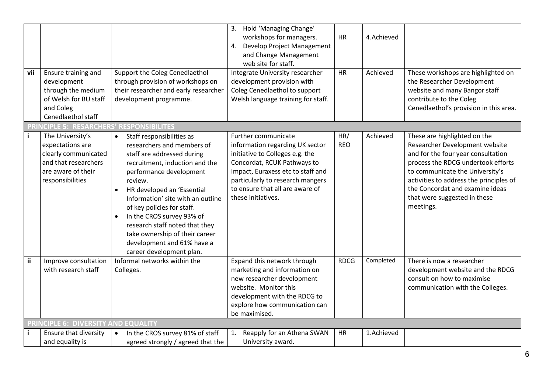| vii | Ensure training and<br>development<br>through the medium<br>of Welsh for BU staff<br>and Coleg<br>Cenedlaethol staff           | Support the Coleg Cenedlaethol<br>through provision of workshops on<br>their researcher and early researcher<br>development programme.                                                                                                                                                                                                                                                                                                                           | 3. Hold 'Managing Change'<br>workshops for managers.<br>Develop Project Management<br>4.<br>and Change Management<br>web site for staff.<br>Integrate University researcher<br>development provision with<br>Coleg Cenedlaethol to support<br>Welsh language training for staff. | <b>HR</b><br><b>HR</b> | 4.Achieved<br>Achieved | These workshops are highlighted on<br>the Researcher Development<br>website and many Bangor staff<br>contribute to the Coleg<br>Cenedlaethol's provision in this area.                                                                                                                                   |
|-----|--------------------------------------------------------------------------------------------------------------------------------|------------------------------------------------------------------------------------------------------------------------------------------------------------------------------------------------------------------------------------------------------------------------------------------------------------------------------------------------------------------------------------------------------------------------------------------------------------------|----------------------------------------------------------------------------------------------------------------------------------------------------------------------------------------------------------------------------------------------------------------------------------|------------------------|------------------------|----------------------------------------------------------------------------------------------------------------------------------------------------------------------------------------------------------------------------------------------------------------------------------------------------------|
|     | PRINCIPLE 5: RESARCHERS' RESPONSIBILITES                                                                                       |                                                                                                                                                                                                                                                                                                                                                                                                                                                                  |                                                                                                                                                                                                                                                                                  |                        |                        |                                                                                                                                                                                                                                                                                                          |
| j.  | The University's<br>expectations are<br>clearly communicated<br>and that researchers<br>are aware of their<br>responsibilities | Staff responsibilities as<br>$\bullet$<br>researchers and members of<br>staff are addressed during<br>recruitment, induction and the<br>performance development<br>review.<br>HR developed an 'Essential<br>$\bullet$<br>Information' site with an outline<br>of key policies for staff.<br>In the CROS survey 93% of<br>$\bullet$<br>research staff noted that they<br>take ownership of their career<br>development and 61% have a<br>career development plan. | Further communicate<br>information regarding UK sector<br>initiative to Colleges e.g. the<br>Concordat, RCUK Pathways to<br>Impact, Euraxess etc to staff and<br>particularly to research mangers<br>to ensure that all are aware of<br>these initiatives.                       | HR/<br><b>REO</b>      | Achieved               | These are highlighted on the<br>Researcher Development website<br>and for the four year consultation<br>process the RDCG undertook efforts<br>to communicate the University's<br>activities to address the principles of<br>the Concordat and examine ideas<br>that were suggested in these<br>meetings. |
| ii. | Improve consultation<br>with research staff                                                                                    | Informal networks within the<br>Colleges.                                                                                                                                                                                                                                                                                                                                                                                                                        | Expand this network through<br>marketing and information on<br>new researcher development<br>website. Monitor this<br>development with the RDCG to<br>explore how communication can<br>be maximised.                                                                             | <b>RDCG</b>            | Completed              | There is now a researcher<br>development website and the RDCG<br>consult on how to maximise<br>communication with the Colleges.                                                                                                                                                                          |
|     | PRINCIPLE 6: DIVERSITY AND EQUALITY                                                                                            |                                                                                                                                                                                                                                                                                                                                                                                                                                                                  |                                                                                                                                                                                                                                                                                  |                        |                        |                                                                                                                                                                                                                                                                                                          |
| j.  | <b>Ensure that diversity</b><br>and equality is                                                                                | In the CROS survey 81% of staff<br>$\bullet$<br>agreed strongly / agreed that the                                                                                                                                                                                                                                                                                                                                                                                | Reapply for an Athena SWAN<br>1.<br>University award.                                                                                                                                                                                                                            | <b>HR</b>              | 1.Achieved             |                                                                                                                                                                                                                                                                                                          |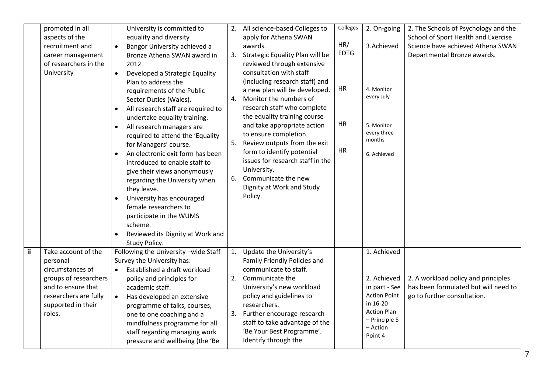|     | promoted in all       |           | University is committed to            |    | 2. All science-based Colleges to | Colleges    | 2. On-going         | 2. The Schools of Psychology and the |
|-----|-----------------------|-----------|---------------------------------------|----|----------------------------------|-------------|---------------------|--------------------------------------|
|     | aspects of the        |           | equality and diversity                |    | apply for Athena SWAN            |             |                     | School of Sport Health and Exercise  |
|     | recruitment and       | $\bullet$ | Bangor University achieved a          |    | awards.                          | HR/         | 3.Achieved          | Science have achieved Athena SWAN    |
|     | career management     |           | Bronze Athena SWAN award in           | 3. | Strategic Equality Plan will be  | <b>EDTG</b> |                     | Departmental Bronze awards.          |
|     | of researchers in the |           | 2012.                                 |    | reviewed through extensive       |             |                     |                                      |
|     | University            | $\bullet$ | Developed a Strategic Equality        |    | consultation with staff          |             |                     |                                      |
|     |                       |           | Plan to address the                   |    | (including research staff) and   |             |                     |                                      |
|     |                       |           | requirements of the Public            |    | a new plan will be developed.    | HR          | 4. Monitor          |                                      |
|     |                       |           | Sector Duties (Wales).                | 4. | Monitor the numbers of           |             | every July          |                                      |
|     |                       |           | All research staff are required to    |    | research staff who complete      |             |                     |                                      |
|     |                       |           | undertake equality training.          |    | the equality training course     |             |                     |                                      |
|     |                       | $\bullet$ | All research managers are             |    | and take appropriate action      | HR          | 5. Monitor          |                                      |
|     |                       |           | required to attend the 'Equality      |    | to ensure completion.            |             | every three         |                                      |
|     |                       |           | for Managers' course.                 | 5. | Review outputs from the exit     |             | months              |                                      |
|     |                       | $\bullet$ | An electronic exit form has been      |    | form to identify potential       | <b>HR</b>   | 6. Achieved         |                                      |
|     |                       |           | introduced to enable staff to         |    | issues for research staff in the |             |                     |                                      |
|     |                       |           | give their views anonymously          |    | University.                      |             |                     |                                      |
|     |                       |           | regarding the University when         | 6. | Communicate the new              |             |                     |                                      |
|     |                       |           | they leave.                           |    | Dignity at Work and Study        |             |                     |                                      |
|     |                       | $\bullet$ | University has encouraged             |    | Policy.                          |             |                     |                                      |
|     |                       |           | female researchers to                 |    |                                  |             |                     |                                      |
|     |                       |           | participate in the WUMS               |    |                                  |             |                     |                                      |
|     |                       |           | scheme.                               |    |                                  |             |                     |                                      |
|     |                       | $\bullet$ | Reviewed its Dignity at Work and      |    |                                  |             |                     |                                      |
|     |                       |           | Study Policy.                         |    |                                  |             |                     |                                      |
| ii. | Take account of the   |           | Following the University - wide Staff | 1. | Update the University's          |             | 1. Achieved         |                                      |
|     | personal              |           | Survey the University has:            |    | Family Friendly Policies and     |             |                     |                                      |
|     | circumstances of      |           | Established a draft workload          |    | communicate to staff.            |             |                     |                                      |
|     | groups of researchers |           | policy and principles for             | 2. | Communicate the                  |             | 2. Achieved         | 2. A workload policy and principles  |
|     | and to ensure that    |           | academic staff.                       |    | University's new workload        |             | in part - See       | has been formulated but will need to |
|     | researchers are fully | $\bullet$ | Has developed an extensive            |    | policy and guidelines to         |             | <b>Action Point</b> | go to further consultation.          |
|     | supported in their    |           | programme of talks, courses,          |    | researchers.                     |             | in 16-20            |                                      |
|     | roles.                |           | one to one coaching and a             | 3. | Further encourage research       |             | <b>Action Plan</b>  |                                      |
|     |                       |           | mindfulness programme for all         |    | staff to take advantage of the   |             | - Principle 5       |                                      |
|     |                       |           | staff regarding managing work         |    | 'Be Your Best Programme'.        |             | - Action            |                                      |
|     |                       |           | pressure and wellbeing (the 'Be       |    | Identify through the             |             | Point 4             |                                      |
|     |                       |           |                                       |    |                                  |             |                     |                                      |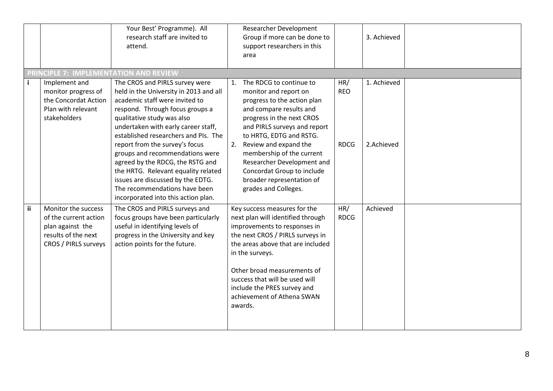|    |                                                                                                                 | Your Best' Programme). All<br>research staff are invited to<br>attend.                                                                                                                                                                                                                                                                                                                                                                                                                                                  | <b>Researcher Development</b><br>Group if more can be done to<br>3. Achieved<br>support researchers in this<br>area                                                                                                                                                                                                                                                                                                                                    |  |
|----|-----------------------------------------------------------------------------------------------------------------|-------------------------------------------------------------------------------------------------------------------------------------------------------------------------------------------------------------------------------------------------------------------------------------------------------------------------------------------------------------------------------------------------------------------------------------------------------------------------------------------------------------------------|--------------------------------------------------------------------------------------------------------------------------------------------------------------------------------------------------------------------------------------------------------------------------------------------------------------------------------------------------------------------------------------------------------------------------------------------------------|--|
|    | PRINCIPLE 7: IMPLEMENTATION AND REVIEW                                                                          |                                                                                                                                                                                                                                                                                                                                                                                                                                                                                                                         |                                                                                                                                                                                                                                                                                                                                                                                                                                                        |  |
| i. | Implement and<br>monitor progress of<br>the Concordat Action<br>Plan with relevant<br>stakeholders              | The CROS and PIRLS survey were<br>held in the University in 2013 and all<br>academic staff were invited to<br>respond. Through focus groups a<br>qualitative study was also<br>undertaken with early career staff,<br>established researchers and PIs. The<br>report from the survey's focus<br>groups and recommendations were<br>agreed by the RDCG, the RSTG and<br>the HRTG. Relevant equality related<br>issues are discussed by the EDTG.<br>The recommendations have been<br>incorporated into this action plan. | HR/<br>1. Achieved<br>The RDCG to continue to<br>1.<br><b>REO</b><br>monitor and report on<br>progress to the action plan<br>and compare results and<br>progress in the next CROS<br>and PIRLS surveys and report<br>to HRTG, EDTG and RSTG.<br>Review and expand the<br>2.Achieved<br>2.<br><b>RDCG</b><br>membership of the current<br>Researcher Development and<br>Concordat Group to include<br>broader representation of<br>grades and Colleges. |  |
| ii | Monitor the success<br>of the current action<br>plan against the<br>results of the next<br>CROS / PIRLS surveys | The CROS and PIRLS surveys and<br>focus groups have been particularly<br>useful in identifying levels of<br>progress in the University and key<br>action points for the future.                                                                                                                                                                                                                                                                                                                                         | HR/<br>Achieved<br>Key success measures for the<br>next plan will identified through<br><b>RDCG</b><br>improvements to responses in<br>the next CROS / PIRLS surveys in<br>the areas above that are included<br>in the surveys.<br>Other broad measurements of<br>success that will be used will<br>include the PRES survey and<br>achievement of Athena SWAN<br>awards.                                                                               |  |